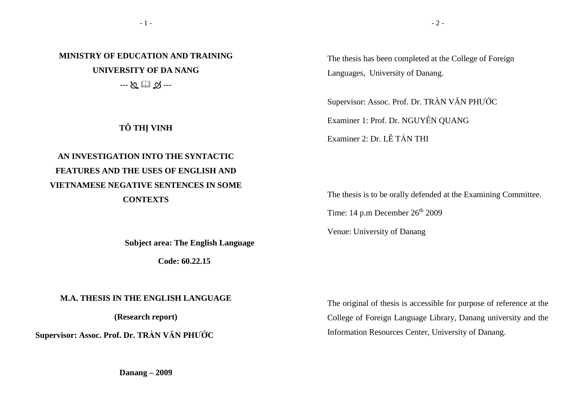**MINISTRY OF EDUCATION AND TRAINING UNIVERSITY OF DA NANG** --- - ---

**TÔ THỊ VINH** 

# **AN INVESTIGATION INTO THE SYNTACTIC FEATURES AND THE USES OF ENGLISH AND VIETNAMESE NEGATIVE SENTENCES IN SOME CONTEXTS**

 **Subject area: The English Language** 

 **Code: 60.22.15** 

#### **M.A. THESIS IN THE ENGLISH LANGUAGE**

**(Research report)** 

**Supervisor: Assoc. Prof. Dr. TRẦN VĂN PHƯỚC** 

The thesis has been completed at the College of Foreign Languages, University of Danang.

Supervisor: Assoc. Prof. Dr. TRẦN VĂN PHƯỚ<sup>C</sup>

Examiner 1: Prof. Dr. NGUYỄN QUANG

Examiner 2: Dr. LÊ TẤN THI

The thesis is to be orally defended at the Examining Committee.

Time: 14 p.m December  $26<sup>th</sup>$  2009

Venue: University of Danang

The original of thesis is accessible for purpose of reference at the College of Foreign Language Library, Danang university and the Information Resources Center, University of Danang.

 $-2-$ 

**Danang – 2009**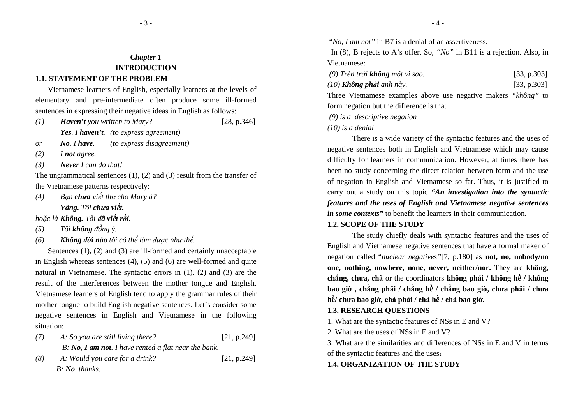### **1.1. STATEMENT OF THE PROBLEM**

Vietnamese learners of English, especially learners at the levels of elementary and pre-intermediate often produce some ill-formed sentences in expressing their negative ideas in English as follows:

- *(1) Haven't you written to Mary?* [28, p.346] *Yes. I haven't. (to express agreement)*
- *or No. I have. (to express disagreement)*
- *(2) I not agree.*
- *(3) Never I can do that!*

The ungrammatical sentences (1), (2) and (3) result from the transfer of the Vietnamese patterns respectively:

 $(4)$  *Vâng. Tôi chưa viết. ạn chưa viết thư cho Mary à?* 

*hoặc là Không. Tôi ñã viết rồi.*

- *(5) Tôi không ñồng ý.*
- *(6) Không ñời nào tôi có thể làm ñược như thế.*

 Sentences (1), (2) and (3) are ill-formed and certainly unacceptable in English whereas sentences (4), (5) and (6) are well-formed and quite natural in Vietnamese. The syntactic errors in (1), (2) and (3) are the result of the interferences between the mother tongue and English. Vietnamese learners of English tend to apply the grammar rules of their mother tongue to build English negative sentences. Let's consider some negative sentences in English and Vietnamese in the following situation:

- *(7) A: So you are still living there?* [21, p.249] *B: No, I am not. I have rented a flat near the bank.*
- *(8) A: Would you care for a drink?* [21, p.249] *B: No, thanks.*

"*No, I am not"* in B7 is a denial of an assertiveness.

 In (8), B rejects to A's offer. So, *"No"* in B11 is a rejection. Also, in Vietnamese:

| $(9)$ Trên trời <b>không</b> một vì sao. | [33, p.303] |
|------------------------------------------|-------------|
|------------------------------------------|-------------|

| (10) <b>Không phải</b> anh này. | [33, p.303] |
|---------------------------------|-------------|
|---------------------------------|-------------|

 Three Vietnamese examples above use negative makers *"không"* to form negation but the difference is that

 *(9) is a descriptive negation* 

*(10) is a denial* 

There is a wide variety of the syntactic features and the uses of negative sentences both in English and Vietnamese which may cause difficulty for learners in communication. However, at times there has been no study concerning the direct relation between form and the use of negation in English and Vietnamese so far. Thus, it is justified to carry out a study on this topic *"An investigation into the syntactic features and the uses of English and Vietnamese negative sentences in some contexts"* to benefit the learners in their communication.

## **1.2. SCOPE OF THE STUDY**

The study chiefly deals with syntactic features and the uses of English and Vietnamese negative sentences that have a formal maker of negation called "*nuclear negatives"*[7, p.180] as **not, no, nobody/no one, nothing, nowhere, none, never, neither/nor.** They are **không, chẳng, c<sup>h</sup>ưa, chả** or the coordinators **không phải / không hề / không**  bao giờ , chẳng phải / chẳng hề / chẳng bao giờ, chưa phải / chưa **hề/ chưa bao giờ, chả phải / chả hề / chả bao giờ.** 

## **1.3. RESEARCH QUESTIONS**

1. What are the syntactic features of NSs in E and V?

2. What are the uses of NSs in E and V?

3. What are the similarities and differences of NSs in E and V in terms of the syntactic features and the uses?

### **1.4. ORGANIZATION OF THE STUDY**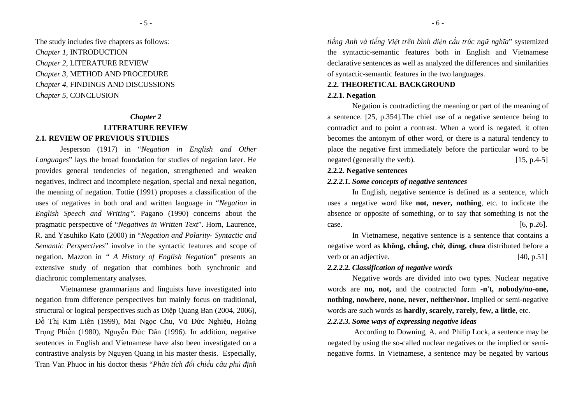The study includes five chapters as follows: *Chapter 1*, INTRODUCTION *Chapter 2*, LITERATURE REVIEW *Chapter 3,* METHOD AND PROCEDURE *Chapter 4,* FINDINGS AND DISCUSSIONS *Chapter 5*, CONCLUSION

# *Chapter 2* **LITERATURE REVIEW 2.1. REVIEW OF PREVIOUS STUDIES**

Jesperson (1917) in "*Negation in English and Other Languages*" lays the broad foundation for studies of negation later. He provides general tendencies of negation, strengthened and weaken negatives, indirect and incomplete negation, special and nexal negation, the meaning of negation. Tottie (1991) proposes a classification of the uses of negatives in both oral and written language in "*Negation in English Speech and Writing".* Pagano (1990) concerns about the pragmatic perspective of "*Negatives in Written Text*". Horn, Laurence, R. and Yasuhiko Kato (2000) in "*Negation and Polarity- Syntactic and Semantic Perspectives*" involve in the syntactic features and scope of negation. Mazzon in *" A History of English Negation*" presents an extensive study of negation that combines both synchronic and diachronic complementary analyses.

Vietnamese grammarians and linguists have investigated into negation from difference perspectives but mainly focus on traditional, structural or logical perspectives such as Diệp Quang Ban (2004, 2006), Đỗ Thị Kim Liên (1999), Mai Ngọc Chu, V<sup>ũ</sup> Đức Nghiệu, Hoàng Trọng Phiến (1980), Nguyễn Đức Dân (1996). In addition, negative sentences in English and Vietnamese have also been investigated on a contrastive analysis by Nguyen Quang in his master thesis. Especially, Tran Van Phuoc in his doctor thesis "*Phân tích ñối chiếu câu phủ ñịnh*  *tiếng Anh và tiếng Việt trên bình diện cấu trúc ngữ nghĩa*" systemized the syntactic-semantic features both in English and Vietnamese declarative sentences as well as analyzed the differences and similarities of syntactic-semantic features in the two languages.

# **2.2. THEORETICAL BACKGROUND 2.2.1. Negation**

Negation is contradicting the meaning or part of the meaning of a sentence. [25, p.354].The chief use of a negative sentence being to contradict and to point a contrast. When a word is negated, it often becomes the antonym of other word, or there is a natural tendency to place the negative first immediately before the particular word to be negated (generally the verb). [15, p.4-5]

#### **2.2.2. Negative sentences**

#### *2.2.2.1. Some concepts of negative sentences*

In English, negative sentence is defined as a sentence, which uses a negative word like **not, never, nothing**, etc. to indicate the absence or opposite of something, or to say that something is not the  $\text{case.}$  [6, p.26].

In Vietnamese, negative sentence is a sentence that contains a negative word as **không, chẳng, chớ, ñừng, chưa** distributed before a verb or an adjective. [40, p.51]

### *2.2.2.2. Classification of negative words*

Negative words are divided into two types. Nuclear negative words are **no, not,** and the contracted form **-n't, nobody/no-one, nothing, nowhere, none, never, neither/nor.** Implied or semi-negative words are such words as **hardly, scarely, rarely, few, a little**, etc.

#### *2.2.2.3. Some ways of expressing negative ideas*

 According to Downing, A. and Philip Lock, a sentence may be negated by using the so-called nuclear negatives or the implied or seminegative forms. In Vietnamese, a sentence may be negated by various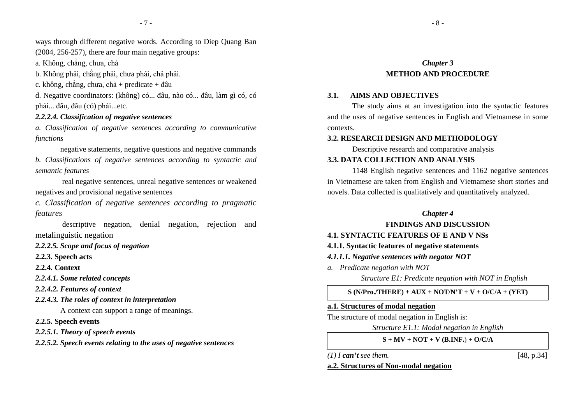ways through different negative words. According to Diep Quang Ban

(2004, 256-257), there are four main negative groups:

a. Không, chẳng, chưa, chả

b. Không phải, chẳng phải, chưa phải, chả phải.

c. không, chẳng, chưa, chả + predicate + đâu

d. Negative coordinators: (không) có... ñâu, nào có... ñâu, làm gì có, có phải... đâu, đâu (có) phải...etc.

### *2.2.2.4. Classification of negative sentences*

*a. Classification of negative sentences according to communicative functions* 

negative statements, negative questions and negative commands *b. Classifications of negative sentences according to syntactic and semantic features* 

 real negative sentences, unreal negative sentences or weakened negatives and provisional negative sentences

*c. Classification of negative sentences according to pragmatic features* 

 descriptive negation*,* denial negation, rejection and metalinguistic negation

*2.2.2.5. Scope and focus of negation* 

**2.2.3. Speech acts** 

**2.2.4. Context** 

*2.2.4.1. Some related concepts* 

*2.2.4.2. Features of context* 

*2.2.4.3. The roles of context in interpretation*

A context can support a range of meanings.

**2.2.5. Speech events** 

*2.2.5.1. Theory of speech events* 

*2.2.5.2. Speech events relating to the uses of negative sentences* 

# *Chapter 3* **METHOD AND PROCEDURE**

#### **3.1. AIMS AND OBJECTIVES**

The study aims at an investigation into the syntactic features and the uses of negative sentences in English and Vietnamese in some contexts.

#### **3.2. RESEARCH DESIGN AND METHODOLOGY**

Descriptive research and comparative analysis

# **3.3. DATA COLLECTION AND ANALYSIS**

1148 English negative sentences and 1162 negative sentences in Vietnamese are taken from English and Vietnamese short stories and novels. Data collected is qualitatively and quantitatively analyzed.

#### *Chapter 4*

**FINDINGS AND DISCUSSION** 

# **4.1. SYNTACTIC FEATURES OF E AND V NSs**

# **4.1.1. Syntactic features of negative statements**

#### *4.1.1.1. Negative sentences with negator NOT*

*a. Predicate negation with NOT* 

*Structure E1: Predicate negation with NOT in English* 

**S (N/Pro./THERE) + AUX + NOT/N'T + V + O/C/A + (YET)** 

#### **a.1. Structures of modal negation**

The structure of modal negation in English is:

*Structure E1.1: Modal negation in English* 

**S + MV + NOT + V (B.INF.**) **+ O/C/A** 

*(1) I can't see them.* [48, p.34]

#### **a.2. Structures of Non-modal negation**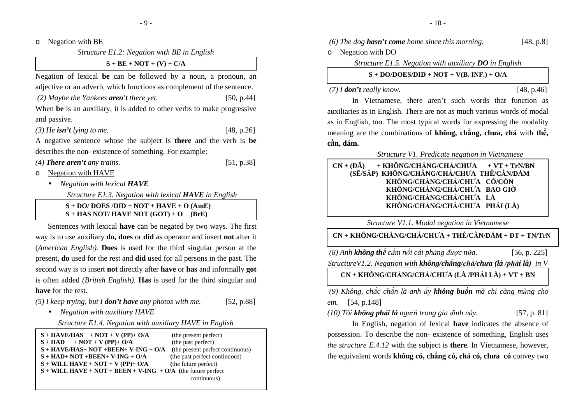oNegation with BE

*Structure E1.2: Negation with BE in English* 

 $S + BE + NOT + (V) + C/A$ 

Negation of lexical **be** can be followed by a noun, a pronoun, an adjective or an adverb, which functions as complement of the sentence.

 *(2) Maybe the Yankees aren't there yet.* [50, p.44]

When **be** is an auxiliary, it is added to other verbs to make progressive and passive.

*(3) He isn't lying to me.* [48, p.26]

A negative sentence whose the subject is **there** and the verb is **be**describes the non- existence of something. For example:

*(4) There aren't any trains.* [51, p.38]

oNegation with HAVE

• *Negation with lexical HAVE*

*Structure E1.3. Negation with lexical HAVE in English* 

**S + DO/ DOES /DID + NOT + HAVE + O (AmE) S + HAS NOT/ HAVE NOT (GOT) + O (BrE)**

Sentences with lexical **have** can be negated by two ways. The first way is to use auxiliary **do, does** or **did** as operator and insert **not** after it (*American English).* **Does** is used for the third singular person at the present, **do** used for the rest and **did** used for all persons in the past. The second way is to insert **not** directly after **have** or **has** and informally **got** is often added *(British English).* **Has** is used for the third singular and **have** for the rest.

*(5) I keep trying, but I don't have any photos with me.* [52, p.88]

• *Negation with auxiliary HAVE*

*Structure E1.4. Negation with auxiliary HAVE in English* 

| $S + HAVE/HAS + NOT + V (PP) + O/A$                                                               | (the present perfect)            |
|---------------------------------------------------------------------------------------------------|----------------------------------|
| $S + HAD + NOT + V (PP) + O/A$                                                                    | (the past perfect)               |
| $S + HAVE/HAS + NOT + BEEN + V-ING + O/A$                                                         | (the present perfect continuous) |
| $S + HAD + NOT + BEEN + V-ING + O/A$                                                              | (the past perfect continuous)    |
| $S + WILL$ HAVE + NOT + V (PP)+ O/A                                                               | (the future perfect)             |
| $S + \text{WILL HAVE} + \text{NOT} + \text{BEEN} + \text{V-ING} + \text{O/A}$ (the future perfect |                                  |
|                                                                                                   | continuous)                      |

|         | (6) The dog <b>hasn't come</b> home since this morning. | [48, p.8] |
|---------|---------------------------------------------------------|-----------|
| $\circ$ | Negation with DO                                        |           |
|         | Structure E1.5. Negation with auxiliary $D0$ in English |           |
|         | $S + DO/DOES/ DID + NOT + V(B. INF.) + O/A$             |           |

 *(7) I don't really know.* [48, p.46]

In Vietnamese, there aren't such words that function as auxiliaries as in English. There are not as much various words of modal as in English, too. The most typical words for expressing the modality meaning are the combinations of **không, chẳng, chưa, chả** with **thể, cần, dám.**

### *Structure V1. Predicate negation in Vietnamese*

 $CN + (D\tilde{A})$  **(ĐÃ) + KHÔNG/CHẲNG/CHẢ/CHƯA + VT + TrN/BN (SẼ/SẮP) KHÔNG/CHẲNG/CHẢ/CHƯA THỂ/CẦN/DÁM KHÔNG/CHẲNG/CHẢ/CHƯA CÓ/CÒN KHÔNG/CHẲNG/CHẢ/CHƯA BAO GIỜ KHÔNG/CHẲNG/CHẢ/CHƯA LÀ KHÔNG/CHẲNG/CHẢ/CHƯA PHẢI (LÀ)** 

*Structure V1.1*. *Modal negation in Vietnamese* 

**CN + KHÔNG/CHẲNG/CHẢ/CHƯA + THỂ/CẦN/DÁM + ĐT + TN/TrN** 

 *(8) Anh không thể cầm nổi cái phảng ñược nữa.* [56, p. 225]*StructureV1.2*. *Negation with không/chẳng/chả/chưa (là /phải là) in V* 

**CN + KHÔNG/CHẲNG/CHẢ/CHƯA (LÀ /PHẢI LÀ) + VT + BN** 

 *(9) Không, chắc chắn là anh ấy không buồn mà chỉ càng mừng cho em.* [54, p.148]

*(10) Tôi không phải là người trong gia ñình này.* [57, p. 81]

In English, negation of lexical **have** indicates the absence of possession. To describe the non- existence of something, English uses *the structure E.4.12* with the subject is **there***.* In Vietnamese, however, the equivalent words **không có, chẳng có, chả có, chưa có** convey two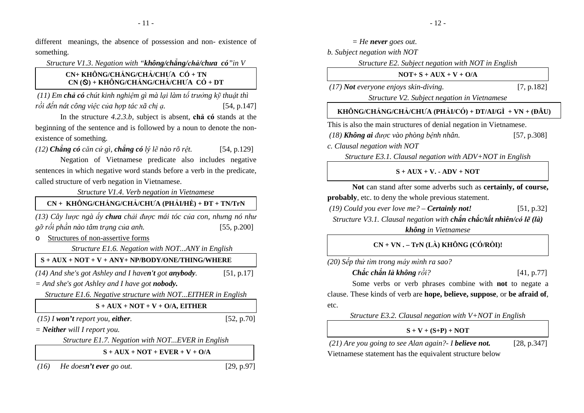different meanings, the absence of possession and non- existence of something.

*Structure V1.3*. *Negation with "không/chẳng/chả/chưa có"in V* 

# **CN+ KHÔNG/CHẲNG/CHẢ/CHƯA CÓ + TN CN () + KHÔNG/CHẲNG/CHẢ/CHƯA CÓ + DT**

 *(11) Em chả có chút kinh nghiệm gì mà lại làm tổ trưởng kỹ thuật thì rồi ñến nát công việc của hợp tác xã chị<sup>ạ</sup>.* [54, p.147]

In the structure *4.2.3.b,* subject is absent, **chả có** stands at the beginning of the sentence and is followed by a noun to denote the nonexistence of something.

*(12) Chẳng có căn cứ gì, chẳng có lý lẽ nào rõ rệt.* [54, p.129]

Negation of Vietnamese predicate also includes negative sentences in which negative word stands before a verb in the predicate, called structure of verb negation in Vietnamese.

*Structure V1.4*. *Verb negation in Vietnamese* 

*(13) Cây lược ngà ấy chưa chải ñược mái tóc của con, nhưng nó như* $[55, p.200]$ *gỡ rối phần nào tâm trạng của anh.* [55, p.200]**CN + KHÔNG/CHẲNG/CHẢ/CHƯA (PHẢI/HỀ) + ĐT + TN/TrN** 

oStructures of non-assertive forms

*Structure E1.6. Negation with NOT...ANY in English*

# **S + AUX + NOT + V + ANY+ NP/BODY/ONE/THING/WHERE**

*(14) And she's got Ashley and I haven't go<sup>t</sup>anybody.* [51, p.17]

*= And she's got Ashley and I have got nobody.* 

*Structure E1.6. Negative structure with NOT...EITHER in English* 

**S + AUX + NOT + V + O/A, EITHER** 

 *(15) I won't report you, either.* [52, p.70]

*= Neither will I report you.* 

*Structure E1.7. Negation with NOT...EVER in English*

**S + AUX + NOT + EVER + V + O/A** 

 *(16) He doesn't ever go out.* [29, p.97]

| $=$ He never goes out.                                                                                                                         |             |
|------------------------------------------------------------------------------------------------------------------------------------------------|-------------|
| b. Subject negation with NOT                                                                                                                   |             |
| Structure E2. Subject negation with NOT in English                                                                                             |             |
| $NOT + S + AUX + V + O/A$                                                                                                                      |             |
| (17) Not everyone enjoys skin-diving.                                                                                                          | [7, p.182]  |
| Structure V2. Subject negation in Vietnamese                                                                                                   |             |
| KHÔNG/CHÅNG/CHẢ/CHƯA (PHẢI/CÓ) + DT/AI/GÌ + VN + (ĐÂU)                                                                                         |             |
| This is also the main structures of denial negation in Vietnamese.                                                                             |             |
| (18) Không ai được vào phòng bệnh nhân.                                                                                                        | [57, p.308] |
| c. Clausal negation with NOT                                                                                                                   |             |
| Structure E3.1. Clausal negation with ADV+NOT in English                                                                                       |             |
| $S + AUX + V. - ADV + NOT$                                                                                                                     |             |
| Not can stand after some adverbs such as <b>certainly</b> , of <b>course</b> ,<br><b>probably</b> , etc. to deny the whole previous statement. |             |
| $(19)$ Could you ever love me? – <b>Certainly not!</b>                                                                                         | [51, p.32]  |
| Structure V3.1. Clausal negation with chắn chắc/tất nhiên/có lẽ (là)                                                                           |             |
| không in Vietnamese                                                                                                                            |             |
| $CN + VN$ . $- TrN$ (LÀ) KHÔNG (CÓ/RỒ)!                                                                                                        |             |
| (20) Sếp thử tìm trong máy mình ra sao?                                                                                                        |             |
| Chắc chắn là không rồi?                                                                                                                        | [41, p.77]  |
| Some verbs or verb phrases combine with <b>not</b> to negate a                                                                                 |             |
| clause. These kinds of verb are hope, believe, suppose, or be afraid of,                                                                       |             |
| etc.                                                                                                                                           |             |
| Structure E3.2. Clausal negation with $V+NOT$ in English                                                                                       |             |
| $S + V + (S+P) + NOT$                                                                                                                          |             |
| (21) Are you going to see Alan again? - I believe not.                                                                                         | [28, p.347] |
| Vietnamese statement has the equivalent structure below                                                                                        |             |
|                                                                                                                                                |             |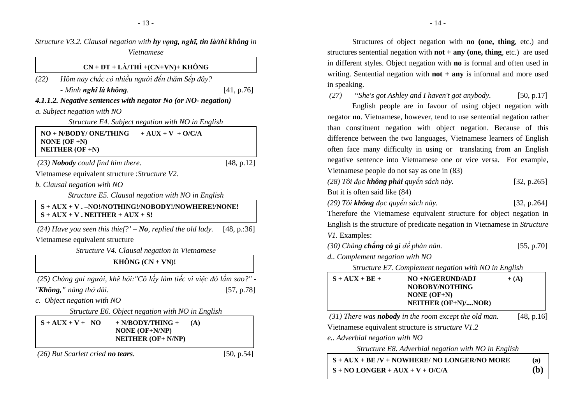|                                                                                            | Vietnamese                                                                 | Structure V3.2. Clausal negation with hy vong, nghĩ, tin là/thì không in |
|--------------------------------------------------------------------------------------------|----------------------------------------------------------------------------|--------------------------------------------------------------------------|
|                                                                                            | $CN + DT + L\lambda/TH\hat{I} + (CN+VN) + KH\hat{O}NG$                     |                                                                          |
| (22)                                                                                       | Hôm nay chắc có nhiều người đến thăm Sếp đây?                              |                                                                          |
| - Mình nghĩ là không.                                                                      |                                                                            | [41, p.76]                                                               |
| 4.1.1.2. Negative sentences with negator No (or NO- negation)                              |                                                                            |                                                                          |
| a. Subject negation with NO                                                                |                                                                            |                                                                          |
|                                                                                            | Structure E4. Subject negation with NO in English                          |                                                                          |
| NO + N/BODY/ ONE/THING<br>NONE $(OF + N)$<br>NEITHER $(OF + N)$                            | $+ AUX + V + O/CA$                                                         |                                                                          |
| $(23)$ Nobody could find him there.                                                        |                                                                            | [48, p.12]                                                               |
| Vietnamese equivalent structure : Structure V2.                                            |                                                                            |                                                                          |
| b. Clausal negation with NO                                                                |                                                                            |                                                                          |
|                                                                                            | Structure E5. Clausal negation with NO in English                          |                                                                          |
| S + AUX + V. - NO!/NOTHING!/NOBODY!/NOWHERE!/NONE!<br>$S + AUX + V$ . NEITHER + $AUX + S!$ |                                                                            |                                                                          |
| $(24)$ Have you seen this thief?' $-No$ , replied the old lady.                            |                                                                            | [48, p::36]                                                              |
| Vietnamese equivalent structure                                                            |                                                                            |                                                                          |
|                                                                                            | Structure V4. Clausal negation in Vietnamese                               |                                                                          |
|                                                                                            | <b>KHÔNG</b> $(CN + VN)!$                                                  |                                                                          |
|                                                                                            |                                                                            | (25) Chàng gai người, khẽ hỏi: "Cô lấy làm tiếc vì việc đó lắm sao?" -   |
| "Không," nàng thở dài.                                                                     |                                                                            | [57, p.78]                                                               |
| c. Object negation with NO                                                                 |                                                                            |                                                                          |
|                                                                                            | Structure E6. Object negation with NO in English                           |                                                                          |
| $S + AUX + V + NO$                                                                         | $+$ N/BODY/THING $+$<br><b>NONE</b> (OF+N/NP)<br><b>NEITHER (OF+ N/NP)</b> | (A)                                                                      |
| (26) But Scarlett cried no tears.                                                          |                                                                            | [50, p.54]                                                               |

Structures of object negation with **no (one, thing**, etc.) and structures sentential negation with **not + any (one, thing**, etc.) are used in different styles. Object negation with **no** is formal and often used in writing. Sentential negation with **not + any** is informal and more used in speaking.

 *(27) "She's got Ashley and I haven't got anybody.*[50, p.17]

English people are in favour of using object negation with negator **no**. Vietnamese, however, tend to use sentential negation rather than constituent negation with object negation. Because of this difference between the two languages, Vietnamese learners of English often face many difficulty in using or translating from an English negative sentence into Vietnamese one or vice versa. For example, Vietnamese people do not say as one in (83)

*(28) Tôi ñọc không phải quyển sách này.* [32, p.265]

But it is often said like (84)

*(29) Tôi không ñọc quy ển sách này.* [32, p.264]

Therefore the Vietnamese equivalent structure for object negation in English is the structure of predicate negation in Vietnamese in *Structure V1.* Examples:

| (30) Chàng chẳng có gì để phàn nàn. |  | [55, p.70] |
|-------------------------------------|--|------------|
|-------------------------------------|--|------------|

*d.. Complement negation with NO* 

*Structure E7. Complement negation with NO in English* 

| $S + AUX + BE +$ | $NO + N/GERUND/ADJ$             | $+ (A)$ |
|------------------|---------------------------------|---------|
|                  | NOBOBY/NOTHING<br>NONE $(OF+N)$ |         |
|                  | NEITHER $(OF+N)/NOR$            |         |

 *(31) There was nobody in the room except the old man.* [48, p.16]

Vietnamese equivalent structure is *structure V1.2* 

*e.. Adverbial negation with NO* 

*Structure E8. Adverbial negation with NO in English*

| $S + AUX + BE/V + NOWHERE/NO LONGER/NO MORE$ | (a)          |
|----------------------------------------------|--------------|
| $S + NO$ LONGER + AUX + V + O/C/A            | ( <b>b</b> ) |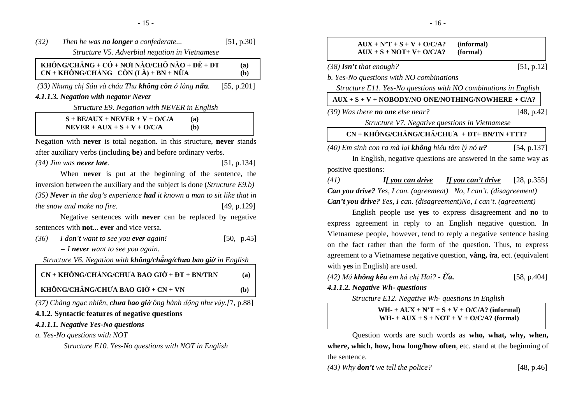| (32) | Then he was <b>no longer</b> a confederate                                                | [51, p.30]  |
|------|-------------------------------------------------------------------------------------------|-------------|
|      | Structure V5. Adverbial negation in Vietnamese                                            |             |
|      | KHÔNG/CHÅNG + CÓ + NOI NÀO/CHỐ NÀO + ĐỂ + ĐT<br>$CN + KHÔNG/CHÅNG$ $CÒN (LÀ) + BN + NÜ'A$ | (a)<br>(b)  |
|      | (33) Nhưng chị Sáu và cháu Thu không còn ở làng nữa.                                      | [55, p.201] |

#### *4.1.1.3. Negation with negator Never*

*Structure E9. Negation with NEVER in English* 

 $S + BE/AUX + NEVER + V + O/C/A$  (a)  $(b)$  $NEVER + AUX + S + V + O/C/A$ 

Negation with **never** is total negation. In this structure, **never** stands after auxiliary verbs (including **be**) and before ordinary verbs.

*(34) Jim was never late.* [51, p.134]

When **never** is put at the beginning of the sentence, the inversion between the auxiliary and the subject is done (*Structure E9.b)(35) Never in the dog's experience had it known a man to sit like that in the snow and make no fire.* [49, p.129]

Negative sentences with **never** can be replaced by negative sentences with **not... ever** and vice versa.

| (36) | I don't want to see you ever again! | [50, p.45] |
|------|-------------------------------------|------------|
|      |                                     |            |

*= I never want to see you again.* 

*Structure V6. Negation with không/chẳng/chưa bao giờ in English* 

| $CN + KHÔNG/CHÅNG/CHU'A BAO GIÒ + DT + BN/TRN$ | (a) |
|------------------------------------------------|-----|
| KHÔNG/CHÅNG/CHƯA BAO GIỜ + CN + VN             | (b) |

*(37) Chàng ngạc nhiên, chưa bao giờ ông hành ñộng n<sup>h</sup> ư vậy.[*7, p.88]

# **4.1.2. Syntactic features of negative questions**

### *4.1.1.1. Negative Yes-No questions*

*a. Yes-No questions with NOT* 

*Structure E10. Yes-No questions with NOT in English*

|                     | $AUX + N'T + S + V + O/C/A?$<br>$AUX + S + NOT + V + O/C/A?$               | (informal)<br>(formal)    |             |
|---------------------|----------------------------------------------------------------------------|---------------------------|-------------|
|                     | $(38)$ <b>Isn't</b> that enough?                                           |                           | [51, p.12]  |
|                     | b. Yes-No questions with NO combinations                                   |                           |             |
|                     | Structure E11. Yes-No questions with NO combinations in English            |                           |             |
|                     | $AUX + S + V + NOBODY/NO ONE/NOTHING/NOWHERE + C/A?$                       |                           |             |
|                     | (39) Was there <b>no one</b> else near?                                    |                           | [48, p.42]  |
|                     | Structure V7. Negative questions in Vietnamese                             |                           |             |
|                     | $CN + KHÔNG/CHÅNG/CHÅ/CHU'A + DT + BN/TN + TTT?$                           |                           |             |
|                     | (40) Em sinh con ra mà lại <b>không</b> hiều tâm lý nó <b>ư?</b>           |                           | [54, p.137] |
|                     | In English, negative questions are answered in the same way as             |                           |             |
| positive questions: |                                                                            |                           |             |
| (41)                | If you can drive                                                           | <u>If you can't drive</u> | [28, p.355] |
|                     | <b>Can you drive?</b> Yes, I can. (agreement) No, I can't. (disagreement)  |                           |             |
|                     | <b>Can't you drive?</b> Yes, I can. (disagreement)No, I can't. (agreement) |                           |             |
|                     | English people use yes to express disagreement and no to                   |                           |             |
|                     | express agreement in reply to an English negative question. In             |                           |             |
|                     | Vietnamese people, however, tend to reply a negative sentence basing       |                           |             |
|                     | on the fact rather than the form of the question. Thus, to express         |                           |             |
|                     | agreement to a Vietnamese negative question, vâng, ùra, ect. (equivalent   |                           |             |
|                     | with yes in English) are used.                                             |                           |             |

| (42) Má <b>không kêu</b> em hả chị Hai? - <b>Ùa.</b> | [58, p.404] |
|------------------------------------------------------|-------------|
|------------------------------------------------------|-------------|

### *4.1.1.2. Negative Wh- questions*

*Structure E12. Negative Wh- questions in English* 

 $WH- + AUX + N'T + S + V + O/C/A?$  (informal)  $WH-+AUX+S+NOT+V+O/C/A?$  (formal)

Question words are such words as **who, what, why, when, where, which, how, how long/how often**, etc. stand at the beginning of the sentence.

*(43) Why don't we tell the police?* [48, p.46]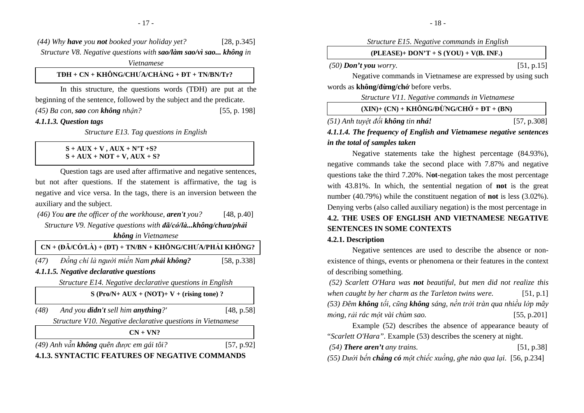*(44) Why have you not booked your holiday yet?* [28, p.345]*Structure V8. Negative questions with sao/làm sao/vì sao... không in Vietnamese* 

### **TĐH + CN + KHÔNG/CHƯA/CHẲNG + ĐT + TN/BN/Tr?**

In this structure, the questions words (TĐH) are put at the beginning of the sentence, followed by the subject and the predicate. *(45) Ba con, sao con không nhận?*[55, p. 198]

*4.1.1.3. Question tags* 

*Structure E13. Tag questions in English* 

#### **S + AUX + V , AUX + N'T +S? S + AUX + NOT + V, AUX + S?**

Question tags are used after affirmative and negative sentences, but not after questions. If the statement is affirmative, the tag is negative and vice versa. In the tags, there is an inversion between the auxiliary and the subject.

 *(46) You are the officer of the workhouse, aren't you?* [48, p.40]*Structure V9. Negative questions with ñã/có/là...không/chưa/phải* 

*không in Vietnamese* 

|      | $\overrightarrow{CN}$ + (ĐÃ/CÓ/LÀ) + (ĐT) + TN/BN + KHÔNG/CHƯA/PHẢI KHÔNG? |             |
|------|----------------------------------------------------------------------------|-------------|
| (47) | Đồng chí là người miền Nam phải không?                                     | [58, p.338] |

*4.1.1.5. Negative declarative questions* 

*Structure E14. Negative declarative questions in English* 

**S (Pro/N+ AUX + (NOT)+ V + (rising tone) ?** 

| (48) | And you <b>didn't</b> sell him <b>anything</b> ?' | [48, p.58] |
|------|---------------------------------------------------|------------|

*Structure V10. Negative declarative questions in Vietnamese* 

**CN + VN?**

*(49) Anh vẫn không quên ñược em gái tôi?* [57, p.92]

# **4.1.3. SYNTACTIC FEATURES OF NEGATIVE COMMANDS**

*Structure E15. Negative commands in English* 

| $(PLEASE)+ DON'T + S (YOU) + V(B, INF.)$ |  |
|------------------------------------------|--|
|                                          |  |

 *(50) Don't you worry.* [51, p.15]

Negative commands in Vietnamese are expressed by using such words as **không/ñừng/chớ** before verbs.

*Structure V11. Negative commands in Vietnamese* 

| $(XIN)+(CN) + KHÔNG/DÙ'NG/CHÓ + DT + (BN)$ |                      |
|--------------------------------------------|----------------------|
|                                            | $\sim$ $\sim$ $\sim$ |

#### *(51) Anh tuyệt ñối không tin nhá! 4.1.1.4. The frequency of English and Vietnamese negative sentences*  [57, p.308] *in the total of samples taken*

Negative statements take the highest percentage (84.93%), negative commands take the second place with 7.87% and negative questions take the third 7.20%. N**ot**-negation takes the most percentage with 43.81%. In which, the sentential negation of **not** is the great number (40.79%) while the constituent negation of **not** is less (3.02%). Denying verbs (also called auxiliary negation) is the most percentage in **4.2. THE USES OF ENGLISH AND VIETNAMESE NEGATIVE SENTENCES IN SOME CONTEXTS** 

# **4.2.1. Description**

Negative sentences are used to describe the absence or nonexistence of things, events or phenomena or their features in the context of describing something.

 *(52) Scarlett O'Hara was not beautiful, but men did not realize this when caught by her charm as the Tarleton twins were.* [51, p.1]*(53) Đêm không tối, cũng không sáng, nền trời tràn qua nhiều lớp mây mỏng, rải rác một vài chùm sao.* [55, p.201]

 Example (52) describes the absence of appearance beauty of "*Scarlett O'Hara".* Example (53) describes the scenery at night.

 *(54) There aren't any trains.* [51, p.38]

*(55) Dưới bến chẳng có một chiếc xuồng, ghe nào qua lại.* [56, p.234]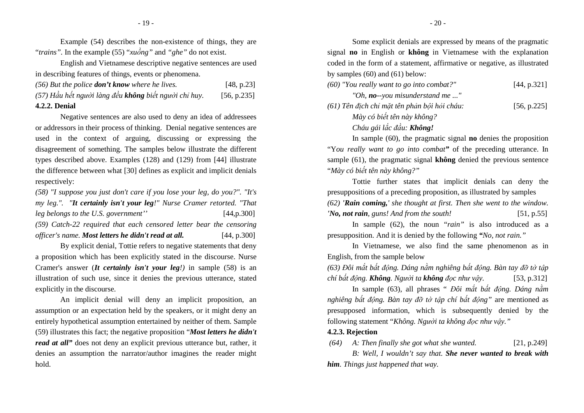Example (54) describes the non-existence of things, they are "*trains".* In the example (55) "*xuồng"* and *"ghe"* do not exist.

English and Vietnamese descriptive negative sentences are used in describing features of things, events or phenomena.

| <b>4.2.2. Denial</b>                                    |             |
|---------------------------------------------------------|-------------|
| (57) Hầu hết người làng đều không biết người chỉ huy.   | [56, p.235] |
| $(56)$ But the police <b>don't know</b> where he lives. | [48, p.23]  |

Negative sentences are also used to deny an idea of addressees or addressors in their process of thinking. Denial negative sentences are used in the context of arguing, discussing or expressing the disagreement of something. The samples below illustrate the different types described above. Examples (128) and (129) from [44] illustrate the difference between what [30] defines as explicit and implicit denials respectively:

*(58) "I suppose you just don't care if you lose your leg, do you?". "It's my leg.". "It certainly isn't your leg!" Nurse Cramer retorted. "That leg belongs to the U.S. government''* [44,p.300] *(59) Catch-22 required that each censored letter bear the censoring officer's name. Most letters he didn't read at all.* [44, p.300]

By explicit denial, Tottie refers to negative statements that deny a proposition which has been explicitly stated in the discourse. Nurse Cramer's answer (*It certainly isn't your leg!)* in sample (58) is an illustration of such use, since it denies the previous utterance, stated explicitly in the discourse.

An implicit denial will deny an implicit proposition, an assumption or an expectation held by the speakers, or it might deny an entirely hypothetical assumption entertained by neither of them. Sample (59) illustrates this fact; the negative proposition "*Most letters he didn't read at all*" does not deny an explicit previous utterance but, rather, it denies an assumption the narrator/author imagines the reader might hold.

Some explicit denials are expressed by means of the pragmatic signal **no** in English or **không** in Vietnamese with the explanation coded in the form of a statement, affirmative or negative, as illustrated by samples (60) and (61) below:

| (60) "You really want to go into combat?" | [44, p.321] |
|-------------------------------------------|-------------|
| "Oh, <b>no</b> --you misunderstand me "   |             |

*(61) Tên ñịch chỉ mặt tên phản bội hỏi cháu:* [56, p.225]*Mày có biết tên này không? Cháu gái lắc ñầu: Không!*

In sample (60), the pragmatic signal **no** denies the proposition "Y*ou really want to go into combat"* of the preceding utterance. In sample (61), the pragmatic signal **không** denied the previous sentence "*Mày có biết tên này không?"* 

Tottie further states that implicit denials can deny the presuppositions of a preceding proposition, as illustrated by samples

*(62) 'Rain coming,' she thought at first. Then she went to the window. 'No, not rain, guns! And from the south!* [51, p.55]

In sample (62), the noun "*rain"* is also introduced as a presupposition. And it is denied by the following *"No, not rain."*

 In Vietnamese, we also find the same phenomenon as in English, from the sample below

(63) Đôi mắt bất đông. Dáng nằm nghiêng bất đông. Bàn tay đỡ tờ tâp *chí bất ñộng. Không. Người ta không ñọc như vậy.* [53, p.312]

In sample (63), all phrases " *Đôi mắt bất ñộng. Dáng nằm nghiêng bất ñộng. Bàn tay ñỡ tờ tập chí bất ñộng"* are mentioned as presupposed information, which is subsequently denied by the following statement "*Không. Người ta không ñọc như vậy."* 

### **4.2.3. Rejection**

 *(64) A: Then finally she got what she wanted.* [21, p.249]

*B: Well, I wouldn't say that. She never wanted to break with him. Things just happened that way.*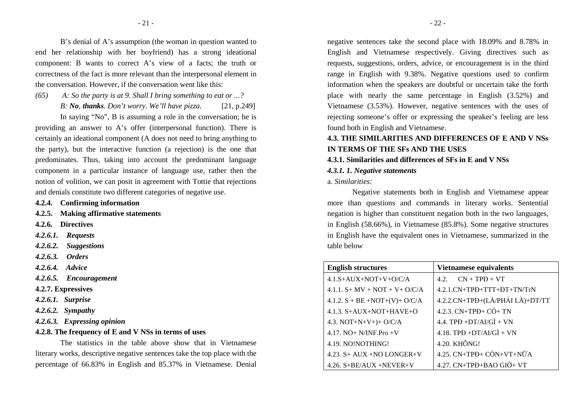B's denial of A's assumption (the woman in question wanted to end her relationship with her boyfriend) has a strong ideational component: B wants to correct A's view of a facts; the truth or correctness of the fact is more relevant than the interpersonal element in the conversation. However, if the conversation went like this:

*(65) A: So the party is at 9. Shall I bring something to eat or ...?* 

*B: No, thanks. Don't worry. We'll have pizza.* [21, p.249]

In saying "No", B is assuming a role in the conversation; he is providing an answer to A's offer (interpersonal function). There is certainly an ideational component (A does not need to bring anything to the party), but the interactive function (a rejection) is the one that predominates. Thus, taking into account the predominant language component in a particular instance of language use, rather then the notion of volition, we can posit in agreement with Tottie that rejections and denials constitute two different categories of negative use.

- **4.2.4. Confirming information**
- **4.2.5. Making affirmative statements**
- **4.2.6. Directives**
- *4.2.6.1. Requests*
- *4.2.6.2. Suggestions*
- *4.2.6.3. Orders*
- *4.2.6.4. Advice*
- *4.2.6.5. Encouragement*
- **4.2.7. Expressives**
- *4.2.6.1. Surprise*
- *4.2.6.2. Sympathy*
- *4.2.6.3. Expressing opinion*
- **4.2.8. The frequency of E and V NSs in terms of uses**

The statistics in the table above show that in Vietnamese literary works, descriptive negative sentences take the top place with the percentage of 66.83% in English and 85.37% in Vietnamese. Denial

negative sentences take the second place with 18.09% and 8.78% in English and Vietnamese respectively. Giving directives such as requests, suggestions, orders, advice, or encouragement is in the third range in English with 9.38%. Negative questions used to confirm information when the speakers are doubtful or uncertain take the forth place with nearly the same percentage in English (3.52%) and Vietnamese (3.53%). However, negative sentences with the uses of rejecting someone's offer or expressing the speaker's feeling are less found both in English and Vietnamese.

# **4.3. THE SIMILARITIES AND DIFFERENCES OF E AND V NSs IN TERMS OF THE SFs AND THE USES**

#### **4.3.1. Similarities and differences of SFs in E and V NSs**

#### *4.3.1. 1. Negative statements*

#### a. *Similarities:*

Negative statements both in English and Vietnamese appear more than questions and commands in literary works. Sentential negation is higher than constituent negation both in the two languages, in English (58.66%), in Vietnamese (85.8%). Some negative structures in English have the equivalent ones in Vietnamese, summarized in the table below

| <b>English structures</b>         | <b>Vietnamese equivalents</b>     |
|-----------------------------------|-----------------------------------|
| $4.1.S+AUX+NOT+V+O/C/A$           | $CN + TPP + VT$<br>42             |
| 4.1.1. $S+MV + NOT + V + O/C/A$   | 4.2.1.CN+TPĐ+TTT+ĐT+TN/TrN        |
| $4.1.2. S + BE + NOT+(V) + O/C/A$ | 4.2.2.CN+TPĐ+(LÀ/PHẢI LÀ)+DT/TT   |
| 4.1.3. $S+AUX+NOT+HAVE+O$         | $4.2.3$ . $CN+TPD+CO+TN$          |
| 4.3. NOT+N+V+)+ O/C/A             | $4.4.$ TPD +DT/AI/GI + VN         |
| 4.17. $NO+ N/INF.Pro +V$          | $4.18$ . TPD +DT/AI/GI + VN       |
| 4.19. NO!NOTHING!                 | 4.20. KHÔNG!                      |
| $4.23. S+ AUX + NO LONGER+V$      | 4.25. $CN+TPD+CON+VT+N\tilde{U}A$ |
| $4.26. S+BE/AUX + NEVER+V$        | 4.27. CN+TPĐ+BAO GIỜ+ VT          |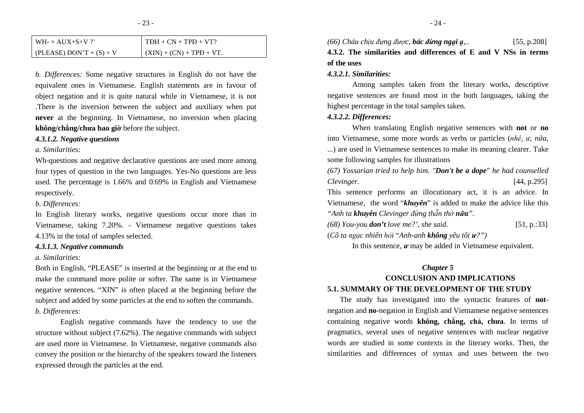| $WH-+AUX+S+V$ ?            | $TDH + CN + TPD + VT?$     |
|----------------------------|----------------------------|
| (PLEASE) DON'T + $(S)$ + V | $(XIN) + (CN) + TPD + VT.$ |

*b. Differences:* Some negative structures in English do not have theequivalent ones in Vietnamese. English statements are in favour of object negation and it is quite natural while in Vietnamese, it is not .There is the inversion between the subject and auxiliary when put **never** at the beginning. In Vietnamese, no inversion when placing **không/chẳng/chưa bao giờ** before the subject.

#### *4.3.1.2. Negative questions*

*a. Similarities:* 

Wh-questions and negative declarative questions are used more among four types of question in the two languages. Yes-No questions are less used. The percentage is 1.66% and 0.69% in English and Vietnamese respectively.

## *b. Differences:*

In English literary works, negative questions occur more than in Vietnamese, taking 7.20%. - Vietnamese negative questions takes 4.13% in the total of samples selected.

#### *4.3.1.3. Negative commands*

### *a. Similarities:*

Both in English, "PLEASE" is inserted at the beginning or at the end to make the command more polite or softer. The same is in Vietnamese negative sentences. "XIN" is often placed at the beginning before the subject and added by some particles at the end to soften the commands. *b. Differences:* 

English negative commands have the tendency to use the structure without subject (7.62%). The negative commands with subject are used more in Vietnamese. In Vietnamese, negative commands also convey the position or the hierarchy of the speakers toward the listeners expressed through the particles at the end.

*(66) Cháu chịu ñựng ñược, bác ñừng ngại ạ,..* [55, p.208]

# **4.3.2. The similarities and differences of E and V NSs in terms of the uses**

#### *4.3.2.1. Similarities:*

Among samples taken from the literary works, descriptive negative sentences are found most in the both languages, taking the highest percentage in the total samples taken.

#### *4.3.2.2. Differences:*

When translating English negative sentences with **not** or **no** into Vietnamese, some more words as verbs or particles (*nhé, ư, <sup>n</sup>ữa,*...) are used in Vietnamese sentences to make its meaning clearer. Take some following samples for illustrations

*(67) Yossarian tried to help him. "Don't be a dope" he had counselled Clevinger.* [44, p.295]

This sentence performs an illocutionary act, it is an advice. In Vietnamese, the word "*khuyên*" is added to make the advice like this *"Anh ta khuyên Clevinger ñừng thẫn thờ nữa".* 

| $(68)$ You-you <b>don't</b> love me?', she said.<br>[51, p::33] |
|-----------------------------------------------------------------|
|-----------------------------------------------------------------|

(*Cô ta ngạc nhiên hỏi* "*Anh-anh không yêu tôi ư?")* 

In this sentence, *ư* may be added in Vietnamese equivalent.

#### *Chapter 5*

# **CONCLUSION AND IMPLICATIONS 5.1. SUMMARY OF THE DEVELOPMENT OF THE STUDY**

The study has investigated into the syntactic features of **not**negation and **no**-negation in English and Vietnamese negative sentences containing negative words **không, chẳng, chả, chưa**. In terms of pragmatics, several uses of negative sentences with nuclear negative words are studied in some contexts in the literary works. Then, the similarities and differences of syntax and uses between the two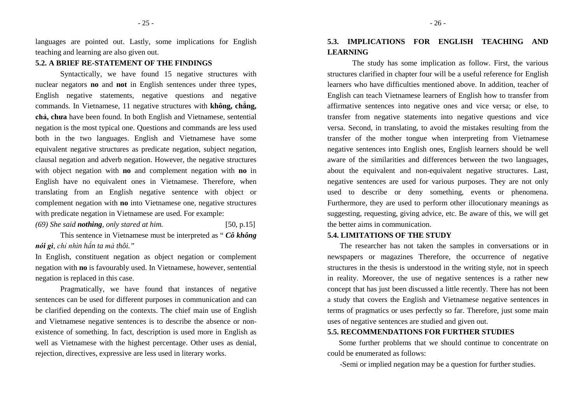languages are pointed out. Lastly, some implications for English teaching and learning are also given out.

#### **5.2. A BRIEF RE-STATEMENT OF THE FINDINGS**

Syntactically, we have found 15 negative structures with nuclear negators **no** and **not** in English sentences under three types, English negative statements, negative questions and negative commands. In Vietnamese, 11 negative structures with **không, chẳng, chả, chưa** have been found. In both English and Vietnamese, sentential negation is the most typical one. Questions and commands are less used both in the two languages. English and Vietnamese have some equivalent negative structures as predicate negation, subject negation, clausal negation and adverb negation. However, the negative structures with object negation with **no** and complement negation with **no** in English have no equivalent ones in Vietnamese. Therefore, when translating from an English negative sentence with object or complement negation with **no** into Vietnamese one, negative structures with predicate negation in Vietnamese are used. For example:

### *(69) She said nothing, only stared at him.* [50, p.15]

This sentence in Vietnamese must be interpreted as " *Cô không nói gì, chỉ nhìn hắn ta mà thôi."* 

In English, constituent negation as object negation or complement negation with **no** is favourably used. In Vietnamese, however, sentential negation is replaced in this case.

Pragmatically, we have found that instances of negative sentences can be used for different purposes in communication and can be clarified depending on the contexts. The chief main use of English and Vietnamese negative sentences is to describe the absence or nonexistence of something. In fact, description is used more in English as well as Vietnamese with the highest percentage. Other uses as denial, rejection, directives, expressive are less used in literary works.

# **5.3. IMPLICATIONS FOR ENGLISH TEACHING AND LEARNING**

The study has some implication as follow. First, the various structures clarified in chapter four will be a useful reference for English learners who have difficulties mentioned above. In addition, teacher of English can teach Vietnamese learners of English how to transfer from affirmative sentences into negative ones and vice versa; or else, to transfer from negative statements into negative questions and vice versa. Second, in translating, to avoid the mistakes resulting from the transfer of the mother tongue when interpreting from Vietnamese negative sentences into English ones, English learners should be well aware of the similarities and differences between the two languages, about the equivalent and non-equivalent negative structures. Last, negative sentences are used for various purposes. They are not only used to describe or deny something, events or phenomena. Furthermore, they are used to perform other illocutionary meanings as suggesting, requesting, giving advice, etc. Be aware of this, we will get the better aims in communication.

### **5.4. LIMITATIONS OF THE STUDY**

 The researcher has not taken the samples in conversations or in newspapers or magazines Therefore, the occurrence of negative structures in the thesis is understood in the writing style, not in speech in reality. Moreover, the use of negative sentences is a rather new concept that has just been discussed a little recently. There has not been a study that covers the English and Vietnamese negative sentences in terms of pragmatics or uses perfectly so far. Therefore, just some main uses of negative sentences are studied and given out.

#### **5.5. RECOMMENDATIONS FOR FURTHER STUDIES**

 Some further problems that we should continue to concentrate on could be enumerated as follows:

-Semi or implied negation may be a question for further studies.